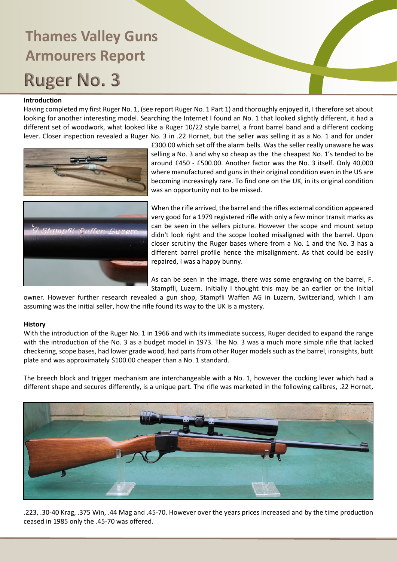### **Introduction**

Having completed my first Ruger No. 1, (see report Ruger No. 1 Part 1) and thoroughly enjoyed it, I therefore set about looking for another interesting model. Searching the Internet I found an No. 1 that looked slightly different, it had a different set of woodwork, what looked like a Ruger 10/22 style barrel, a front barrel band and a different cocking lever. Closer inspection revealed a Ruger No. 3 in .22 Hornet, but the seller was selling it as a No. 1 and for under



£300.00 which set off the alarm bells. Was the seller really unaware he was selling a No. 3 and why so cheap as the the cheapest No. 1's tended to be around £450 - £500.00. Another factor was the No. 3 itself. Only 40,000 where manufactured and guns in their original condition even in the US are becoming increasingly rare. To find one on the UK, in its original condition was an opportunity not to be missed.

When the rifle arrived, the barrel and the rifles external condition appeared very good for a 1979 registered rifle with only a few minor transit marks as can be seen in the sellers picture. However the scope and mount setup didn't look right and the scope looked misaligned with the barrel. Upon closer scrutiny the Ruger bases where from a No. 1 and the No. 3 has a different barrel profile hence the misalignment. As that could be easily repaired, I was a happy bunny.

As can be seen in the image, there was some engraving on the barrel, F. Stampfli, Luzern. Initially I thought this may be an earlier or the initial

owner. However further research revealed a gun shop, Stampfli Waffen AG in Luzern, Switzerland, which I am assuming was the initial seller, how the rifle found its way to the UK is a mystery.

### **History**

With the introduction of the Ruger No. 1 in 1966 and with its immediate success, Ruger decided to expand the range with the introduction of the No. 3 as a budget model in 1973. The No. 3 was a much more simple rifle that lacked checkering, scope bases, had lower grade wood, had parts from other Ruger models such as the barrel, ironsights, butt plate and was approximately \$100.00 cheaper than a No. 1 standard.

The breech block and trigger mechanism are interchangeable with a No. 1, however the cocking lever which had a different shape and secures differently, is a unique part. The rifle was marketed in the following calibres, .22 Hornet,



.223, .30-40 Krag, .375 Win, .44 Mag and .45-70. However over the years prices increased and by the time production ceased in 1985 only the .45-70 was offered.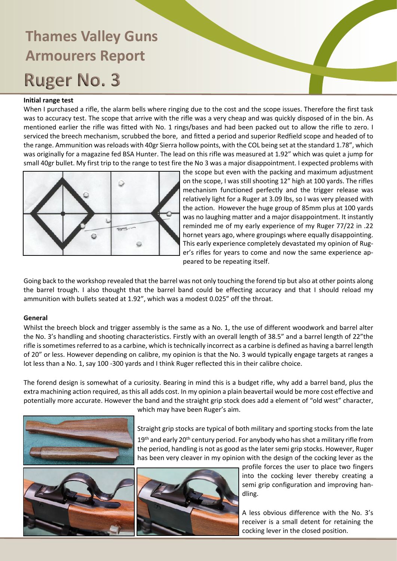### **Initial range test**

When I purchased a rifle, the alarm bells where ringing due to the cost and the scope issues. Therefore the first task was to accuracy test. The scope that arrive with the rifle was a very cheap and was quickly disposed of in the bin. As mentioned earlier the rifle was fitted with No. 1 rings/bases and had been packed out to allow the rifle to zero. I serviced the breech mechanism, scrubbed the bore, and fitted a period and superior Redfield scope and headed of to the range. Ammunition was reloads with 40gr Sierra hollow points, with the COL being set at the standard 1.78", which was originally for a magazine fed BSA Hunter. The lead on this rifle was measured at 1.92" which was quiet a jump for small 40gr bullet. My first trip to the range to test fire the No 3 was a major disappointment. I expected problems with



the scope but even with the packing and maximum adjustment on the scope, I was still shooting 12" high at 100 yards. The rifles mechanism functioned perfectly and the trigger release was relatively light for a Ruger at 3.09 lbs, so I was very pleased with the action. However the huge group of 85mm plus at 100 yards was no laughing matter and a major disappointment. It instantly reminded me of my early experience of my Ruger 77/22 in .22 hornet years ago, where groupings where equally disappointing. This early experience completely devastated my opinion of Ruger's rifles for years to come and now the same experience appeared to be repeating itself.

Going back to the workshop revealed that the barrel was not only touching the forend tip but also at other points along the barrel trough. I also thought that the barrel band could be effecting accuracy and that I should reload my ammunition with bullets seated at 1.92", which was a modest 0.025" off the throat.

### **General**

Whilst the breech block and trigger assembly is the same as a No. 1, the use of different woodwork and barrel alter the No. 3's handling and shooting characteristics. Firstly with an overall length of 38.5" and a barrel length of 22"the rifle is sometimes referred to as a carbine, which is technically incorrect as a carbine is defined as having a barrel length of 20" or less. However depending on calibre, my opinion is that the No. 3 would typically engage targets at ranges a lot less than a No. 1, say 100 -300 yards and I think Ruger reflected this in their calibre choice.

The forend design is somewhat of a curiosity. Bearing in mind this is a budget rifle, why add a barrel band, plus the extra machining action required, as this all adds cost. In my opinion a plain beavertail would be more cost effective and potentially more accurate. However the band and the straight grip stock does add a element of "old west" character,





which may have been Ruger's aim.

Straight grip stocks are typical of both military and sporting stocks from the late

19<sup>th</sup> and early 20<sup>th</sup> century period. For anybody who has shot a military rifle from the period, handling is not as good as the later semi grip stocks. However, Ruger has been very cleaver in my opinion with the design of the cocking lever as the



profile forces the user to place two fingers into the cocking lever thereby creating a semi grip configuration and improving handling.

A less obvious difference with the No. 3's receiver is a small detent for retaining the cocking lever in the closed position.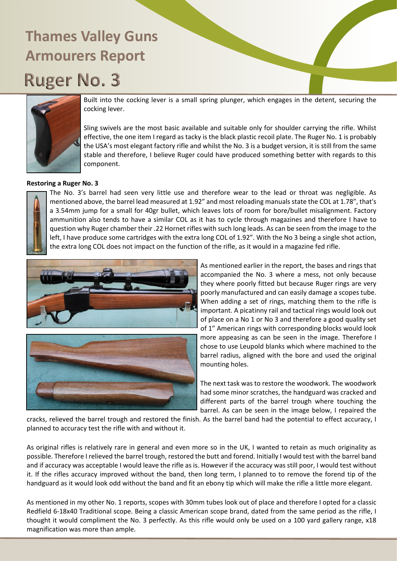

Built into the cocking lever is a small spring plunger, which engages in the detent, securing the cocking lever.

Sling swivels are the most basic available and suitable only for shoulder carrying the rifle. Whilst effective, the one item I regard as tacky is the black plastic recoil plate. The Ruger No. 1 is probably the USA's most elegant factory rifle and whilst the No. 3 is a budget version, it is still from the same stable and therefore, I believe Ruger could have produced something better with regards to this component.

#### **Restoring a Ruger No. 3**



The No. 3's barrel had seen very little use and therefore wear to the lead or throat was negligible. As mentioned above, the barrel lead measured at 1.92" and most reloading manuals state the COL at 1.78", that's a 3.54mm jump for a small for 40gr bullet, which leaves lots of room for bore/bullet misalignment. Factory ammunition also tends to have a similar COL as it has to cycle through magazines and therefore I have to question why Ruger chamber their .22 Hornet rifles with such long leads. As can be seen from the image to the left, I have produce some cartridges with the extra long COL of 1.92". With the No 3 being a single shot action, the extra long COL does not impact on the function of the rifle, as it would in a magazine fed rifle.



As mentioned earlier in the report, the bases and rings that accompanied the No. 3 where a mess, not only because they where poorly fitted but because Ruger rings are very poorly manufactured and can easily damage a scopes tube. When adding a set of rings, matching them to the rifle is important. A picatinny rail and tactical rings would look out of place on a No 1 or No 3 and therefore a good quality set of 1" American rings with corresponding blocks would look more appeasing as can be seen in the image. Therefore I chose to use Leupold blanks which where machined to the barrel radius, aligned with the bore and used the original mounting holes.

The next task was to restore the woodwork. The woodwork had some minor scratches, the handguard was cracked and different parts of the barrel trough where touching the barrel. As can be seen in the image below, I repaired the

cracks, relieved the barrel trough and restored the finish. As the barrel band had the potential to effect accuracy, I planned to accuracy test the rifle with and without it.

As original rifles is relatively rare in general and even more so in the UK, I wanted to retain as much originality as possible. Therefore I relieved the barrel trough, restored the butt and forend. Initially I would test with the barrel band and if accuracy was acceptable I would leave the rifle as is. However if the accuracy was still poor, I would test without it. If the rifles accuracy improved without the band, then long term, I planned to to remove the forend tip of the handguard as it would look odd without the band and fit an ebony tip which will make the rifle a little more elegant.

As mentioned in my other No. 1 reports, scopes with 30mm tubes look out of place and therefore I opted for a classic Redfield 6-18x40 Traditional scope. Being a classic American scope brand, dated from the same period as the rifle, I thought it would compliment the No. 3 perfectly. As this rifle would only be used on a 100 yard gallery range, x18 magnification was more than ample.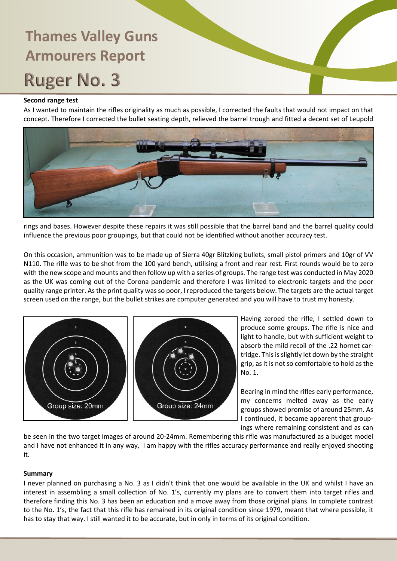### **Second range test**

As I wanted to maintain the rifles originality as much as possible, I corrected the faults that would not impact on that concept. Therefore I corrected the bullet seating depth, relieved the barrel trough and fitted a decent set of Leupold



rings and bases. However despite these repairs it was still possible that the barrel band and the barrel quality could influence the previous poor groupings, but that could not be identified without another accuracy test.

On this occasion, ammunition was to be made up of Sierra 40gr Blitzking bullets, small pistol primers and 10gr of VV N110. The rifle was to be shot from the 100 yard bench, utilising a front and rear rest. First rounds would be to zero with the new scope and mounts and then follow up with a series of groups. The range test was conducted in May 2020 as the UK was coming out of the Corona pandemic and therefore I was limited to electronic targets and the poor quality range printer. As the print quality was so poor, I reproduced the targets below. The targets are the actual target screen used on the range, but the bullet strikes are computer generated and you will have to trust my honesty.



Having zeroed the rifle, I settled down to produce some groups. The rifle is nice and light to handle, but with sufficient weight to absorb the mild recoil of the .22 hornet cartridge. This is slightly let down by the straight grip, as it is not so comfortable to hold as the No. 1.

Bearing in mind the rifles early performance, my concerns melted away as the early groups showed promise of around 25mm. As I continued, it became apparent that groupings where remaining consistent and as can

be seen in the two target images of around 20-24mm. Remembering this rifle was manufactured as a budget model and I have not enhanced it in any way, I am happy with the rifles accuracy performance and really enjoyed shooting it.

### **Summary**

I never planned on purchasing a No. 3 as I didn't think that one would be available in the UK and whilst I have an interest in assembling a small collection of No. 1's, currently my plans are to convert them into target rifles and therefore finding this No. 3 has been an education and a move away from those original plans. In complete contrast to the No. 1's, the fact that this rifle has remained in its original condition since 1979, meant that where possible, it has to stay that way. I still wanted it to be accurate, but in only in terms of its original condition.